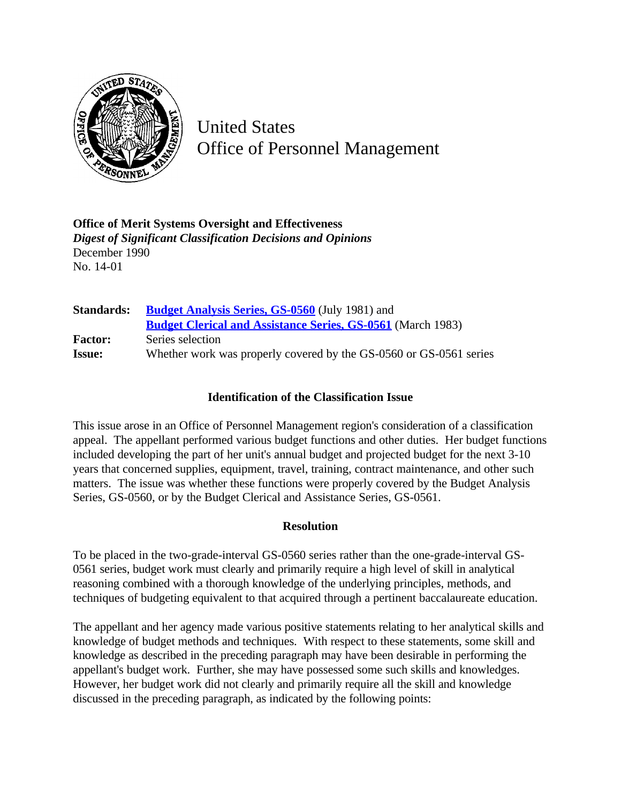

United States Office of Personnel Management

**Office of Merit Systems Oversight and Effectiveness** *Digest of Significant Classification Decisions and Opinions* December 1990 No. 14-01

| <b>Standards:</b> | <b>Budget Analysis Series, GS-0560</b> (July 1981) and             |
|-------------------|--------------------------------------------------------------------|
|                   | <b>Budget Clerical and Assistance Series, GS-0561</b> (March 1983) |
| <b>Factor:</b>    | Series selection                                                   |
| <b>Issue:</b>     | Whether work was properly covered by the GS-0560 or GS-0561 series |

## **Identification of the Classification Issue**

This issue arose in an Office of Personnel Management region's consideration of a classification appeal. The appellant performed various budget functions and other duties. Her budget functions included developing the part of her unit's annual budget and projected budget for the next 3-10 years that concerned supplies, equipment, travel, training, contract maintenance, and other such matters. The issue was whether these functions were properly covered by the Budget Analysis Series, GS-0560, or by the Budget Clerical and Assistance Series, GS-0561.

## **Resolution**

To be placed in the two-grade-interval GS-0560 series rather than the one-grade-interval GS-0561 series, budget work must clearly and primarily require a high level of skill in analytical reasoning combined with a thorough knowledge of the underlying principles, methods, and techniques of budgeting equivalent to that acquired through a pertinent baccalaureate education.

The appellant and her agency made various positive statements relating to her analytical skills and knowledge of budget methods and techniques. With respect to these statements, some skill and knowledge as described in the preceding paragraph may have been desirable in performing the appellant's budget work. Further, she may have possessed some such skills and knowledges. However, her budget work did not clearly and primarily require all the skill and knowledge discussed in the preceding paragraph, as indicated by the following points: